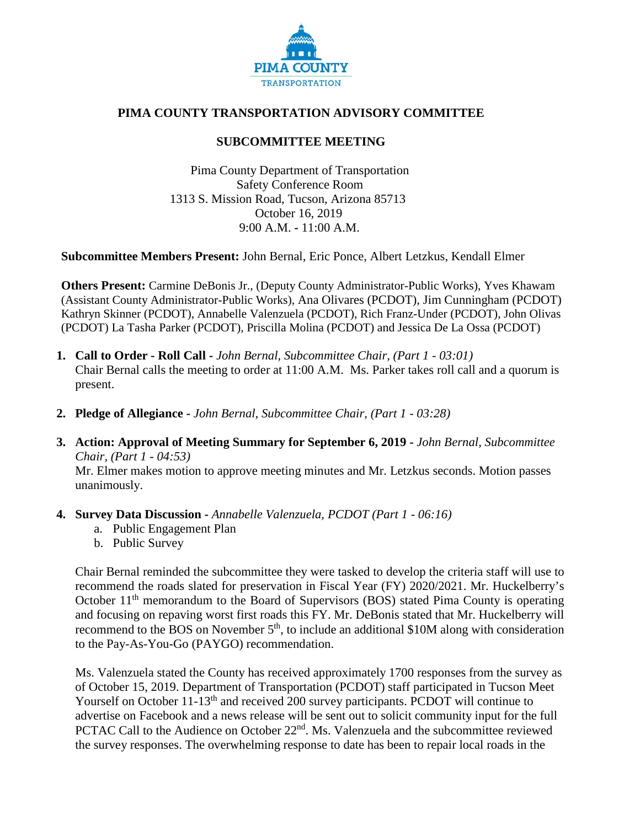

## **PIMA COUNTY TRANSPORTATION ADVISORY COMMITTEE**

## **SUBCOMMITTEE MEETING**

Pima County Department of Transportation Safety Conference Room 1313 S. Mission Road, Tucson, Arizona 85713 October 16, 2019 9:00 A.M. **-** 11:00 A.M.

**Subcommittee Members Present:** John Bernal, Eric Ponce, Albert Letzkus, Kendall Elmer

**Others Present:** Carmine DeBonis Jr., (Deputy County Administrator-Public Works), Yves Khawam (Assistant County Administrator-Public Works), Ana Olivares (PCDOT), Jim Cunningham (PCDOT) Kathryn Skinner (PCDOT), Annabelle Valenzuela (PCDOT), Rich Franz-Under (PCDOT), John Olivas (PCDOT) La Tasha Parker (PCDOT), Priscilla Molina (PCDOT) and Jessica De La Ossa (PCDOT)

- **1. Call to Order - Roll Call -** *John Bernal, Subcommittee Chair, (Part 1 - 03:01)* Chair Bernal calls the meeting to order at 11:00 A.M. Ms. Parker takes roll call and a quorum is present.
- **2. Pledge of Allegiance -** *John Bernal, Subcommittee Chair, (Part 1 - 03:28)*
- **3. Action: Approval of Meeting Summary for September 6, 2019 -** *John Bernal, Subcommittee Chair, (Part 1 - 04:53)*

Mr. Elmer makes motion to approve meeting minutes and Mr. Letzkus seconds. Motion passes unanimously.

- **4. Survey Data Discussion -** *Annabelle Valenzuela, PCDOT (Part 1 - 06:16)*
	- a. Public Engagement Plan
	- b. Public Survey

Chair Bernal reminded the subcommittee they were tasked to develop the criteria staff will use to recommend the roads slated for preservation in Fiscal Year (FY) 2020/2021. Mr. Huckelberry's October 11<sup>th</sup> memorandum to the Board of Supervisors (BOS) stated Pima County is operating and focusing on repaving worst first roads this FY. Mr. DeBonis stated that Mr. Huckelberry will recommend to the BOS on November  $5<sup>th</sup>$ , to include an additional \$10M along with consideration to the Pay-As-You-Go (PAYGO) recommendation.

Ms. Valenzuela stated the County has received approximately 1700 responses from the survey as of October 15, 2019. Department of Transportation (PCDOT) staff participated in Tucson Meet Yourself on October 11-13<sup>th</sup> and received 200 survey participants. PCDOT will continue to advertise on Facebook and a news release will be sent out to solicit community input for the full PCTAC Call to the Audience on October 22<sup>nd</sup>. Ms. Valenzuela and the subcommittee reviewed the survey responses. The overwhelming response to date has been to repair local roads in the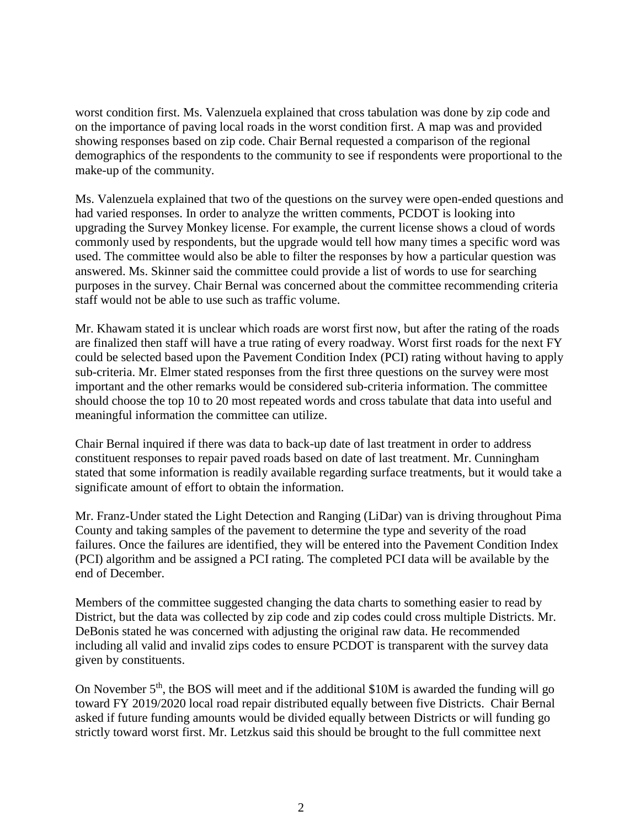worst condition first. Ms. Valenzuela explained that cross tabulation was done by zip code and on the importance of paving local roads in the worst condition first. A map was and provided showing responses based on zip code. Chair Bernal requested a comparison of the regional demographics of the respondents to the community to see if respondents were proportional to the make-up of the community.

Ms. Valenzuela explained that two of the questions on the survey were open-ended questions and had varied responses. In order to analyze the written comments, PCDOT is looking into upgrading the Survey Monkey license. For example, the current license shows a cloud of words commonly used by respondents, but the upgrade would tell how many times a specific word was used. The committee would also be able to filter the responses by how a particular question was answered. Ms. Skinner said the committee could provide a list of words to use for searching purposes in the survey. Chair Bernal was concerned about the committee recommending criteria staff would not be able to use such as traffic volume.

Mr. Khawam stated it is unclear which roads are worst first now, but after the rating of the roads are finalized then staff will have a true rating of every roadway. Worst first roads for the next FY could be selected based upon the Pavement Condition Index (PCI) rating without having to apply sub-criteria. Mr. Elmer stated responses from the first three questions on the survey were most important and the other remarks would be considered sub-criteria information. The committee should choose the top 10 to 20 most repeated words and cross tabulate that data into useful and meaningful information the committee can utilize.

Chair Bernal inquired if there was data to back-up date of last treatment in order to address constituent responses to repair paved roads based on date of last treatment. Mr. Cunningham stated that some information is readily available regarding surface treatments, but it would take a significate amount of effort to obtain the information.

Mr. Franz-Under stated the Light Detection and Ranging (LiDar) van is driving throughout Pima County and taking samples of the pavement to determine the type and severity of the road failures. Once the failures are identified, they will be entered into the Pavement Condition Index (PCI) algorithm and be assigned a PCI rating. The completed PCI data will be available by the end of December.

Members of the committee suggested changing the data charts to something easier to read by District, but the data was collected by zip code and zip codes could cross multiple Districts. Mr. DeBonis stated he was concerned with adjusting the original raw data. He recommended including all valid and invalid zips codes to ensure PCDOT is transparent with the survey data given by constituents.

On November 5<sup>th</sup>, the BOS will meet and if the additional \$10M is awarded the funding will go toward FY 2019/2020 local road repair distributed equally between five Districts. Chair Bernal asked if future funding amounts would be divided equally between Districts or will funding go strictly toward worst first. Mr. Letzkus said this should be brought to the full committee next